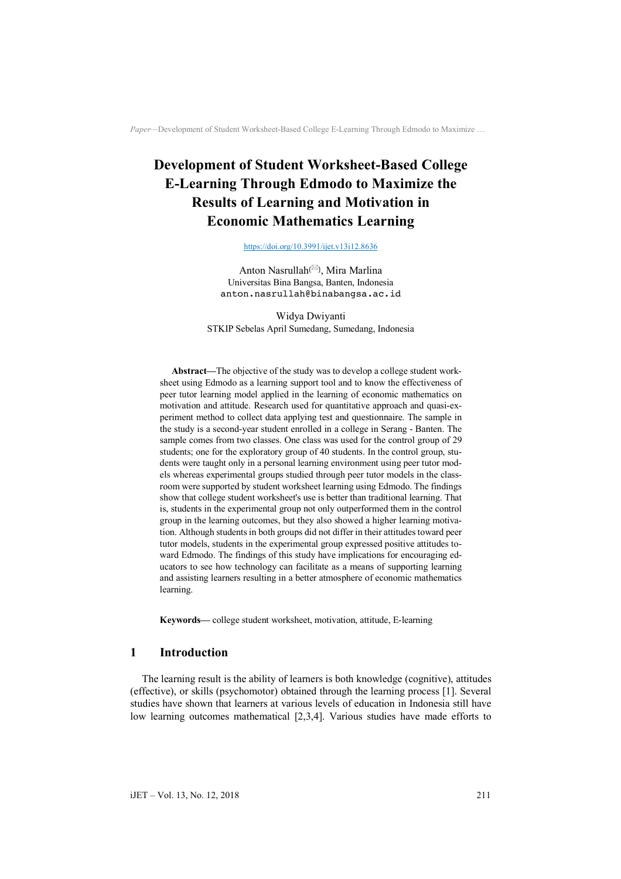# **Development of Student Worksheet-Based College E-Learning Through Edmodo to Maximize the Results of Learning and Motivation in Economic Mathematics Learning**

https://doi.org/10.3991/ijet.v13i12.8636

Anton Nasrullah(\*), Mira Marlina Universitas Bina Bangsa, Banten, Indonesia anton.nasrullah@binabangsa.ac.id

Widya Dwiyanti STKIP Sebelas April Sumedang, Sumedang, Indonesia

**Abstract—**The objective of the study was to develop a college student worksheet using Edmodo as a learning support tool and to know the effectiveness of peer tutor learning model applied in the learning of economic mathematics on motivation and attitude. Research used for quantitative approach and quasi-experiment method to collect data applying test and questionnaire. The sample in the study is a second-year student enrolled in a college in Serang - Banten. The sample comes from two classes. One class was used for the control group of 29 students; one for the exploratory group of 40 students. In the control group, students were taught only in a personal learning environment using peer tutor models whereas experimental groups studied through peer tutor models in the classroom were supported by student worksheet learning using Edmodo. The findings show that college student worksheet's use is better than traditional learning. That is, students in the experimental group not only outperformed them in the control group in the learning outcomes, but they also showed a higher learning motivation. Although students in both groups did not differ in their attitudes toward peer tutor models, students in the experimental group expressed positive attitudes toward Edmodo. The findings of this study have implications for encouraging educators to see how technology can facilitate as a means of supporting learning and assisting learners resulting in a better atmosphere of economic mathematics learning.

**Keywords—** college student worksheet, motivation, attitude, E-learning

## **1 Introduction**

The learning result is the ability of learners is both knowledge (cognitive), attitudes (effective), or skills (psychomotor) obtained through the learning process [1]. Several studies have shown that learners at various levels of education in Indonesia still have low learning outcomes mathematical [2,3,4]. Various studies have made efforts to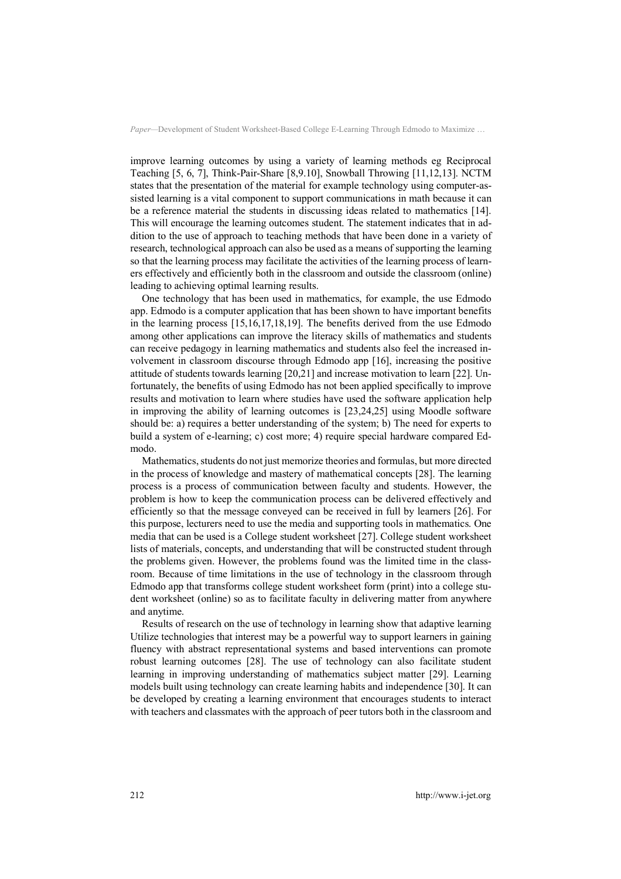improve learning outcomes by using a variety of learning methods eg Reciprocal Teaching [5, 6, 7], Think-Pair-Share [8,9.10], Snowball Throwing [11,12,13]. NCTM states that the presentation of the material for example technology using computer-assisted learning is a vital component to support communications in math because it can be a reference material the students in discussing ideas related to mathematics [14]. This will encourage the learning outcomes student. The statement indicates that in addition to the use of approach to teaching methods that have been done in a variety of research, technological approach can also be used as a means of supporting the learning so that the learning process may facilitate the activities of the learning process of learners effectively and efficiently both in the classroom and outside the classroom (online) leading to achieving optimal learning results.

One technology that has been used in mathematics, for example, the use Edmodo app. Edmodo is a computer application that has been shown to have important benefits in the learning process [15,16,17,18,19]. The benefits derived from the use Edmodo among other applications can improve the literacy skills of mathematics and students can receive pedagogy in learning mathematics and students also feel the increased involvement in classroom discourse through Edmodo app [16], increasing the positive attitude of students towards learning [20,21] and increase motivation to learn [22]. Unfortunately, the benefits of using Edmodo has not been applied specifically to improve results and motivation to learn where studies have used the software application help in improving the ability of learning outcomes is [23,24,25] using Moodle software should be: a) requires a better understanding of the system; b) The need for experts to build a system of e-learning; c) cost more; 4) require special hardware compared Edmodo.

Mathematics, students do not just memorize theories and formulas, but more directed in the process of knowledge and mastery of mathematical concepts [28]. The learning process is a process of communication between faculty and students. However, the problem is how to keep the communication process can be delivered effectively and efficiently so that the message conveyed can be received in full by learners [26]. For this purpose, lecturers need to use the media and supporting tools in mathematics. One media that can be used is a College student worksheet [27]. College student worksheet lists of materials, concepts, and understanding that will be constructed student through the problems given. However, the problems found was the limited time in the classroom. Because of time limitations in the use of technology in the classroom through Edmodo app that transforms college student worksheet form (print) into a college student worksheet (online) so as to facilitate faculty in delivering matter from anywhere and anytime.

Results of research on the use of technology in learning show that adaptive learning Utilize technologies that interest may be a powerful way to support learners in gaining fluency with abstract representational systems and based interventions can promote robust learning outcomes [28]. The use of technology can also facilitate student learning in improving understanding of mathematics subject matter [29]. Learning models built using technology can create learning habits and independence [30]. It can be developed by creating a learning environment that encourages students to interact with teachers and classmates with the approach of peer tutors both in the classroom and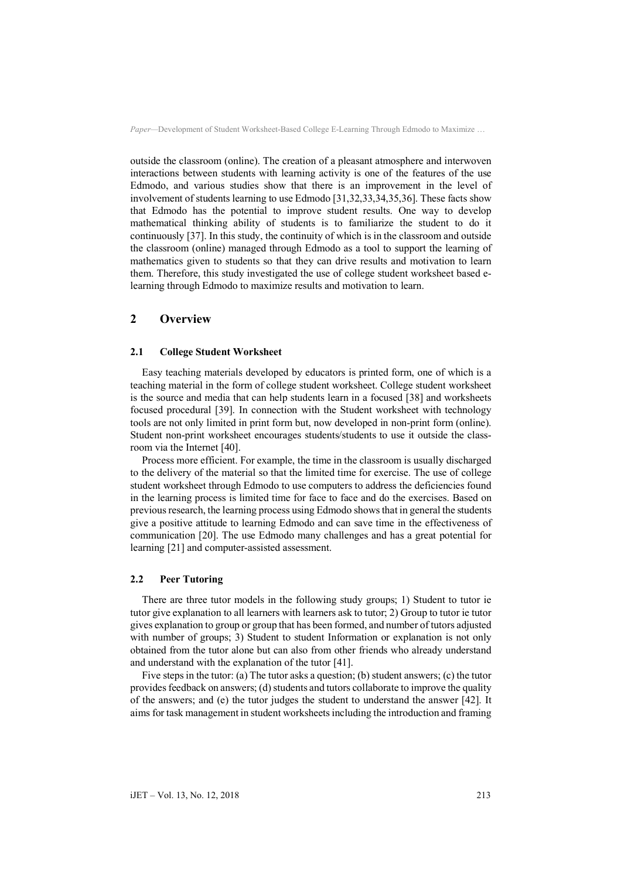outside the classroom (online). The creation of a pleasant atmosphere and interwoven interactions between students with learning activity is one of the features of the use Edmodo, and various studies show that there is an improvement in the level of involvement of students learning to use Edmodo [31,32,33,34,35,36]. These facts show that Edmodo has the potential to improve student results. One way to develop mathematical thinking ability of students is to familiarize the student to do it continuously [37]. In this study, the continuity of which is in the classroom and outside the classroom (online) managed through Edmodo as a tool to support the learning of mathematics given to students so that they can drive results and motivation to learn them. Therefore, this study investigated the use of college student worksheet based elearning through Edmodo to maximize results and motivation to learn.

## **2 Overview**

#### **2.1 College Student Worksheet**

Easy teaching materials developed by educators is printed form, one of which is a teaching material in the form of college student worksheet. College student worksheet is the source and media that can help students learn in a focused [38] and worksheets focused procedural [39]. In connection with the Student worksheet with technology tools are not only limited in print form but, now developed in non-print form (online). Student non-print worksheet encourages students/students to use it outside the classroom via the Internet [40].

Process more efficient. For example, the time in the classroom is usually discharged to the delivery of the material so that the limited time for exercise. The use of college student worksheet through Edmodo to use computers to address the deficiencies found in the learning process is limited time for face to face and do the exercises. Based on previous research, the learning process using Edmodo shows that in general the students give a positive attitude to learning Edmodo and can save time in the effectiveness of communication [20]. The use Edmodo many challenges and has a great potential for learning [21] and computer-assisted assessment.

#### **2.2 Peer Tutoring**

There are three tutor models in the following study groups; 1) Student to tutor ie tutor give explanation to all learners with learners ask to tutor; 2) Group to tutor ie tutor gives explanation to group or group that has been formed, and number of tutors adjusted with number of groups; 3) Student to student Information or explanation is not only obtained from the tutor alone but can also from other friends who already understand and understand with the explanation of the tutor [41].

Five steps in the tutor: (a) The tutor asks a question; (b) student answers; (c) the tutor provides feedback on answers; (d) students and tutors collaborate to improve the quality of the answers; and (e) the tutor judges the student to understand the answer [42]. It aims for task management in student worksheets including the introduction and framing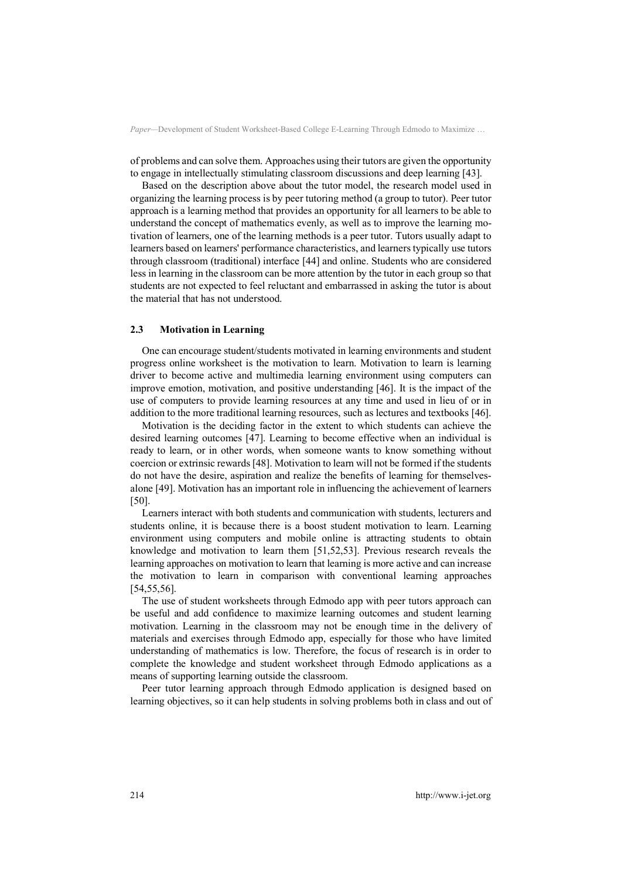of problems and can solve them. Approaches using their tutors are given the opportunity to engage in intellectually stimulating classroom discussions and deep learning [43].

Based on the description above about the tutor model, the research model used in organizing the learning process is by peer tutoring method (a group to tutor). Peer tutor approach is a learning method that provides an opportunity for all learners to be able to understand the concept of mathematics evenly, as well as to improve the learning motivation of learners, one of the learning methods is a peer tutor. Tutors usually adapt to learners based on learners' performance characteristics, and learners typically use tutors through classroom (traditional) interface [44] and online. Students who are considered less in learning in the classroom can be more attention by the tutor in each group so that students are not expected to feel reluctant and embarrassed in asking the tutor is about the material that has not understood.

#### **2.3 Motivation in Learning**

One can encourage student/students motivated in learning environments and student progress online worksheet is the motivation to learn. Motivation to learn is learning driver to become active and multimedia learning environment using computers can improve emotion, motivation, and positive understanding [46]. It is the impact of the use of computers to provide learning resources at any time and used in lieu of or in addition to the more traditional learning resources, such as lectures and textbooks [46].

Motivation is the deciding factor in the extent to which students can achieve the desired learning outcomes [47]. Learning to become effective when an individual is ready to learn, or in other words, when someone wants to know something without coercion or extrinsic rewards [48]. Motivation to learn will not be formed if the students do not have the desire, aspiration and realize the benefits of learning for themselvesalone [49]. Motivation has an important role in influencing the achievement of learners [50].

Learners interact with both students and communication with students, lecturers and students online, it is because there is a boost student motivation to learn. Learning environment using computers and mobile online is attracting students to obtain knowledge and motivation to learn them [51,52,53]. Previous research reveals the learning approaches on motivation to learn that learning is more active and can increase the motivation to learn in comparison with conventional learning approaches [54,55,56].

The use of student worksheets through Edmodo app with peer tutors approach can be useful and add confidence to maximize learning outcomes and student learning motivation. Learning in the classroom may not be enough time in the delivery of materials and exercises through Edmodo app, especially for those who have limited understanding of mathematics is low. Therefore, the focus of research is in order to complete the knowledge and student worksheet through Edmodo applications as a means of supporting learning outside the classroom.

Peer tutor learning approach through Edmodo application is designed based on learning objectives, so it can help students in solving problems both in class and out of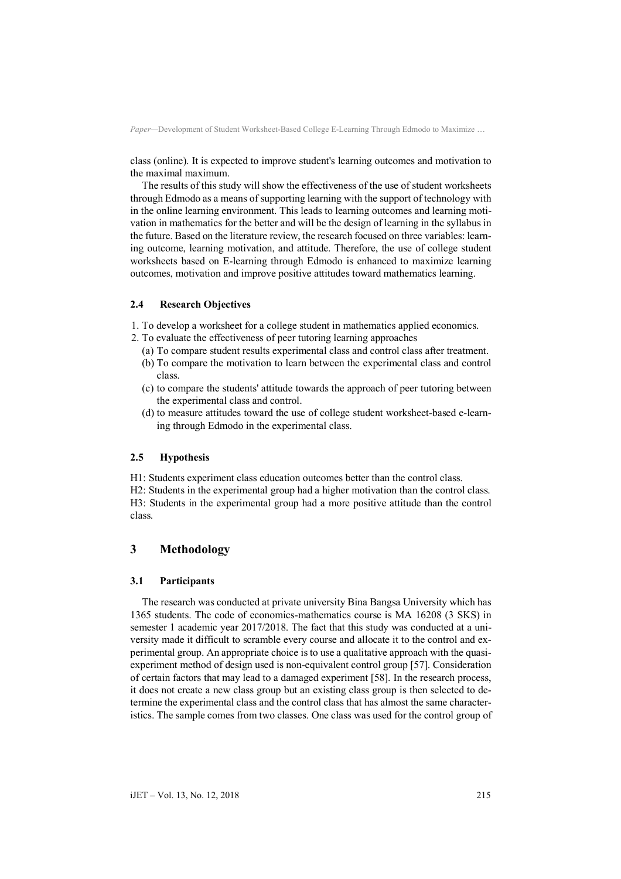class (online). It is expected to improve student's learning outcomes and motivation to the maximal maximum.

The results of this study will show the effectiveness of the use of student worksheets through Edmodo as a means of supporting learning with the support of technology with in the online learning environment. This leads to learning outcomes and learning motivation in mathematics for the better and will be the design of learning in the syllabus in the future. Based on the literature review, the research focused on three variables: learning outcome, learning motivation, and attitude. Therefore, the use of college student worksheets based on E-learning through Edmodo is enhanced to maximize learning outcomes, motivation and improve positive attitudes toward mathematics learning.

## **2.4 Research Objectives**

- 1. To develop a worksheet for a college student in mathematics applied economics.
- 2. To evaluate the effectiveness of peer tutoring learning approaches
	- (a) To compare student results experimental class and control class after treatment.
	- (b) To compare the motivation to learn between the experimental class and control class.
	- (c) to compare the students' attitude towards the approach of peer tutoring between the experimental class and control.
	- (d) to measure attitudes toward the use of college student worksheet-based e-learning through Edmodo in the experimental class.

#### **2.5 Hypothesis**

H1: Students experiment class education outcomes better than the control class.

H2: Students in the experimental group had a higher motivation than the control class. H3: Students in the experimental group had a more positive attitude than the control class.

# **3 Methodology**

## **3.1 Participants**

The research was conducted at private university Bina Bangsa University which has 1365 students. The code of economics-mathematics course is MA 16208 (3 SKS) in semester 1 academic year 2017/2018. The fact that this study was conducted at a university made it difficult to scramble every course and allocate it to the control and experimental group. An appropriate choice isto use a qualitative approach with the quasiexperiment method of design used is non-equivalent control group [57]. Consideration of certain factors that may lead to a damaged experiment [58]. In the research process, it does not create a new class group but an existing class group is then selected to determine the experimental class and the control class that has almost the same characteristics. The sample comes from two classes. One class was used for the control group of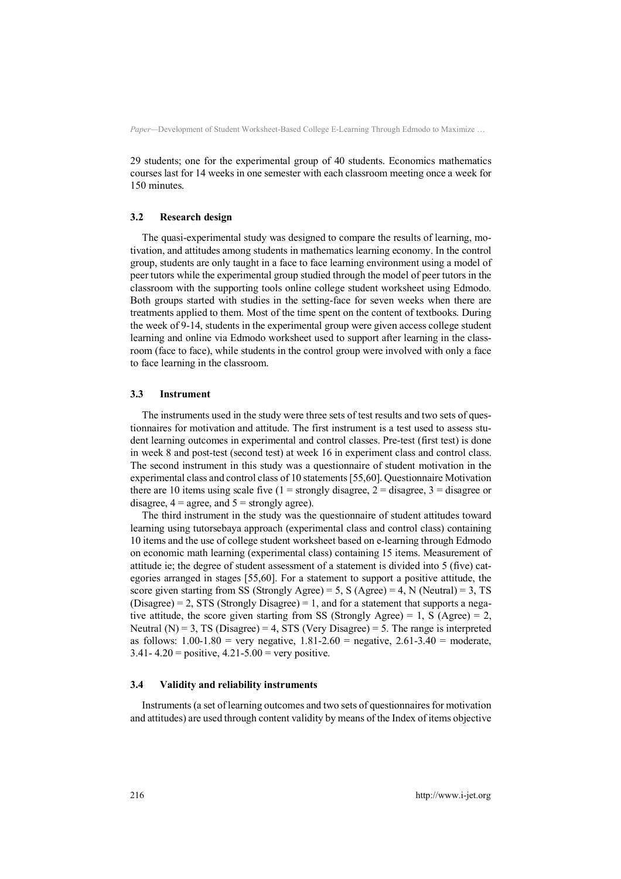29 students; one for the experimental group of 40 students. Economics mathematics courses last for 14 weeks in one semester with each classroom meeting once a week for 150 minutes.

#### **3.2 Research design**

The quasi-experimental study was designed to compare the results of learning, motivation, and attitudes among students in mathematics learning economy. In the control group, students are only taught in a face to face learning environment using a model of peer tutors while the experimental group studied through the model of peer tutors in the classroom with the supporting tools online college student worksheet using Edmodo. Both groups started with studies in the setting-face for seven weeks when there are treatments applied to them. Most of the time spent on the content of textbooks. During the week of 9-14, students in the experimental group were given access college student learning and online via Edmodo worksheet used to support after learning in the classroom (face to face), while students in the control group were involved with only a face to face learning in the classroom.

#### **3.3 Instrument**

The instruments used in the study were three sets of test results and two sets of questionnaires for motivation and attitude. The first instrument is a test used to assess student learning outcomes in experimental and control classes. Pre-test (first test) is done in week 8 and post-test (second test) at week 16 in experiment class and control class. The second instrument in this study was a questionnaire of student motivation in the experimental class and control class of 10 statements [55,60]. Questionnaire Motivation there are 10 items using scale five  $(1 =$  strongly disagree,  $2 =$  disagree,  $3 =$  disagree or disagree,  $4 = \text{agree}$ , and  $5 = \text{strongly agree}$ ).

The third instrument in the study was the questionnaire of student attitudes toward learning using tutorsebaya approach (experimental class and control class) containing 10 items and the use of college student worksheet based on e-learning through Edmodo on economic math learning (experimental class) containing 15 items. Measurement of attitude ie; the degree of student assessment of a statement is divided into 5 (five) categories arranged in stages [55,60]. For a statement to support a positive attitude, the score given starting from SS (Strongly Agree) = 5, S (Agree) = 4, N (Neutral) = 3, TS  $(Disagree) = 2$ , STS (Strongly Disagree) = 1, and for a statement that supports a negative attitude, the score given starting from SS (Strongly Agree) = 1, S (Agree) = 2, Neutral  $(N) = 3$ , TS (Disagree) = 4, STS (Very Disagree) = 5. The range is interpreted as follows:  $1.00-1.80$  = very negative,  $1.81-2.60$  = negative,  $2.61-3.40$  = moderate,  $3.41 - 4.20 =$  positive,  $4.21 - 5.00 =$  very positive.

#### **3.4 Validity and reliability instruments**

Instruments (a set of learning outcomes and two sets of questionnaires for motivation and attitudes) are used through content validity by means of the Index of items objective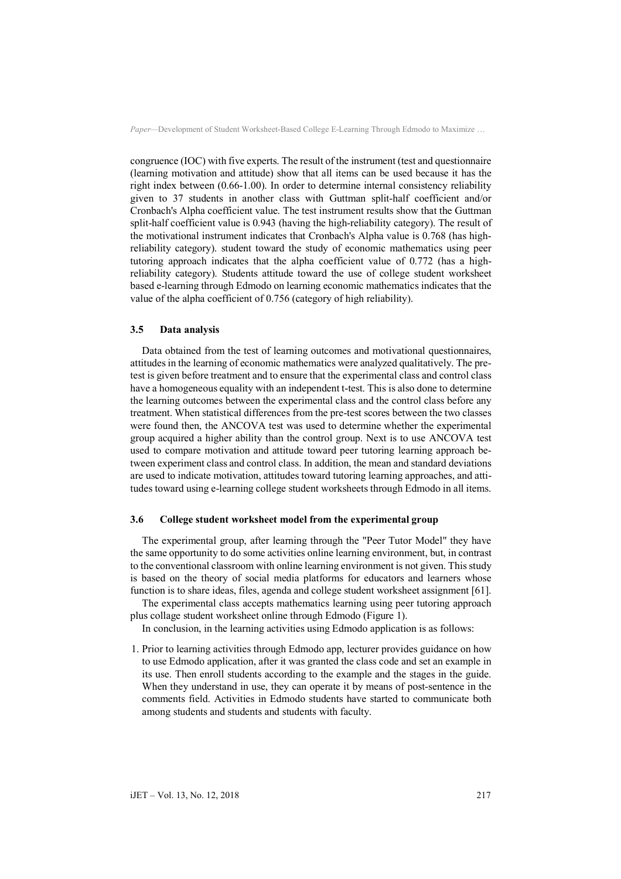congruence (IOC) with five experts. The result of the instrument (test and questionnaire (learning motivation and attitude) show that all items can be used because it has the right index between (0.66-1.00). In order to determine internal consistency reliability given to 37 students in another class with Guttman split-half coefficient and/or Cronbach's Alpha coefficient value. The test instrument results show that the Guttman split-half coefficient value is 0.943 (having the high-reliability category). The result of the motivational instrument indicates that Cronbach's Alpha value is 0.768 (has highreliability category). student toward the study of economic mathematics using peer tutoring approach indicates that the alpha coefficient value of 0.772 (has a highreliability category). Students attitude toward the use of college student worksheet based e-learning through Edmodo on learning economic mathematics indicates that the value of the alpha coefficient of 0.756 (category of high reliability).

#### **3.5 Data analysis**

Data obtained from the test of learning outcomes and motivational questionnaires, attitudes in the learning of economic mathematics were analyzed qualitatively. The pretest is given before treatment and to ensure that the experimental class and control class have a homogeneous equality with an independent t-test. This is also done to determine the learning outcomes between the experimental class and the control class before any treatment. When statistical differences from the pre-test scores between the two classes were found then, the ANCOVA test was used to determine whether the experimental group acquired a higher ability than the control group. Next is to use ANCOVA test used to compare motivation and attitude toward peer tutoring learning approach between experiment class and control class. In addition, the mean and standard deviations are used to indicate motivation, attitudes toward tutoring learning approaches, and attitudes toward using e-learning college student worksheets through Edmodo in all items.

## **3.6 College student worksheet model from the experimental group**

The experimental group, after learning through the "Peer Tutor Model" they have the same opportunity to do some activities online learning environment, but, in contrast to the conventional classroom with online learning environment is not given. This study is based on the theory of social media platforms for educators and learners whose function is to share ideas, files, agenda and college student worksheet assignment [61].

The experimental class accepts mathematics learning using peer tutoring approach plus collage student worksheet online through Edmodo (Figure 1).

In conclusion, in the learning activities using Edmodo application is as follows:

1. Prior to learning activities through Edmodo app, lecturer provides guidance on how to use Edmodo application, after it was granted the class code and set an example in its use. Then enroll students according to the example and the stages in the guide. When they understand in use, they can operate it by means of post-sentence in the comments field. Activities in Edmodo students have started to communicate both among students and students and students with faculty.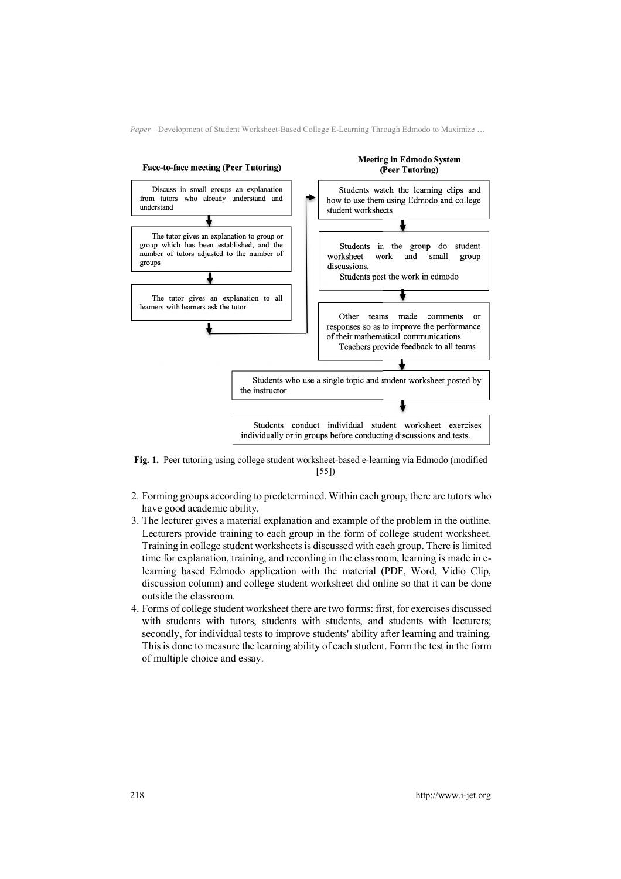

**Fig. 1.** Peer tutoring using college student worksheet-based e-learning via Edmodo (modified [55])

- 2. Forming groups according to predetermined. Within each group, there are tutors who have good academic ability.
- 3. The lecturer gives a material explanation and example of the problem in the outline. Lecturers provide training to each group in the form of college student worksheet. Training in college student worksheets is discussed with each group. There is limited time for explanation, training, and recording in the classroom, learning is made in elearning based Edmodo application with the material (PDF, Word, Vidio Clip, discussion column) and college student worksheet did online so that it can be done outside the classroom.
- 4. Forms of college student worksheet there are two forms: first, for exercises discussed with students with tutors, students with students, and students with lecturers; secondly, for individual tests to improve students' ability after learning and training. This is done to measure the learning ability of each student. Form the test in the form of multiple choice and essay.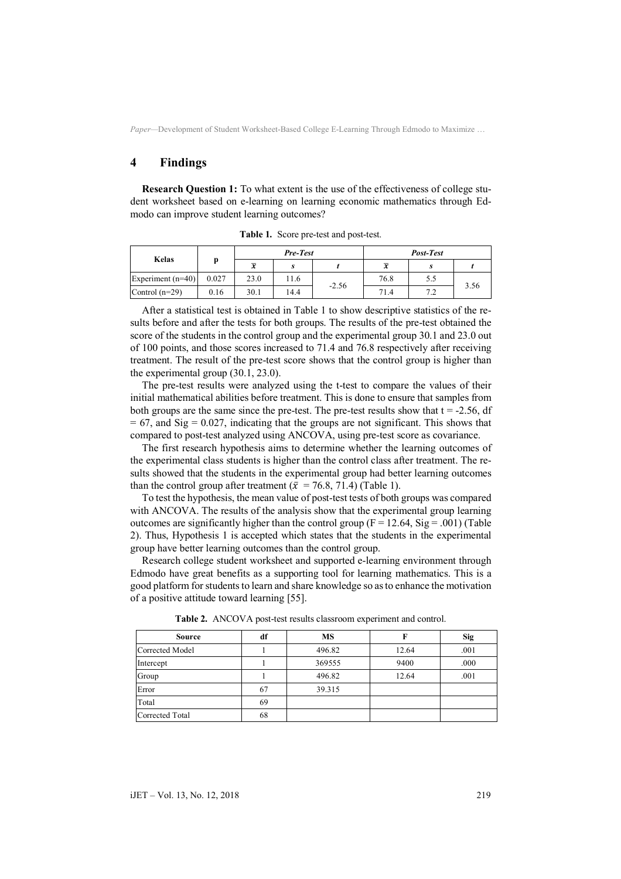# **4 Findings**

**Research Question 1:** To what extent is the use of the effectiveness of college student worksheet based on e-learning on learning economic mathematics through Edmodo can improve student learning outcomes?

|                     |       | <b>Pre-Test</b> |      |         | Post-Test               |     |      |
|---------------------|-------|-----------------|------|---------|-------------------------|-----|------|
| Kelas               |       | $\overline{x}$  | s    |         | $\overline{\mathbf{v}}$ | S   |      |
| Experiment $(n=40)$ | 0.027 | 23.0            | 11.6 |         | 76.8                    | 5.5 |      |
| Control $(n=29)$    | 0.16  | 30.1            | 14.4 | $-2.56$ | 71.4                    | 7 7 | 3.56 |

**Table 1.** Score pre-test and post-test.

After a statistical test is obtained in Table 1 to show descriptive statistics of the results before and after the tests for both groups. The results of the pre-test obtained the score of the students in the control group and the experimental group 30.1 and 23.0 out of 100 points, and those scores increased to 71.4 and 76.8 respectively after receiving treatment. The result of the pre-test score shows that the control group is higher than the experimental group (30.1, 23.0).

The pre-test results were analyzed using the t-test to compare the values of their initial mathematical abilities before treatment. This is done to ensure that samples from both groups are the same since the pre-test. The pre-test results show that  $t = -2.56$ , df  $= 67$ , and Sig  $= 0.027$ , indicating that the groups are not significant. This shows that compared to post-test analyzed using ANCOVA, using pre-test score as covariance.

The first research hypothesis aims to determine whether the learning outcomes of the experimental class students is higher than the control class after treatment. The results showed that the students in the experimental group had better learning outcomes than the control group after treatment ( $\bar{x}$  = 76.8, 71.4) (Table 1).

To test the hypothesis, the mean value of post-test tests of both groups was compared with ANCOVA. The results of the analysis show that the experimental group learning outcomes are significantly higher than the control group ( $F = 12.64$ ,  $Sig = .001$ ) (Table 2). Thus, Hypothesis 1 is accepted which states that the students in the experimental group have better learning outcomes than the control group.

Research college student worksheet and supported e-learning environment through Edmodo have great benefits as a supporting tool for learning mathematics. This is a good platform for students to learn and share knowledge so as to enhance the motivation of a positive attitude toward learning [55].

| <b>Source</b>   | df | <b>MS</b> |       | <b>Sig</b> |
|-----------------|----|-----------|-------|------------|
| Corrected Model |    | 496.82    | 12.64 | .001       |
| Intercept       |    | 369555    | 9400  | .000       |
| Group           |    | 496.82    | 12.64 | .001       |
| Error           | 67 | 39.315    |       |            |
| Total           | 69 |           |       |            |
| Corrected Total | 68 |           |       |            |

**Table 2.** ANCOVA post-test results classroom experiment and control.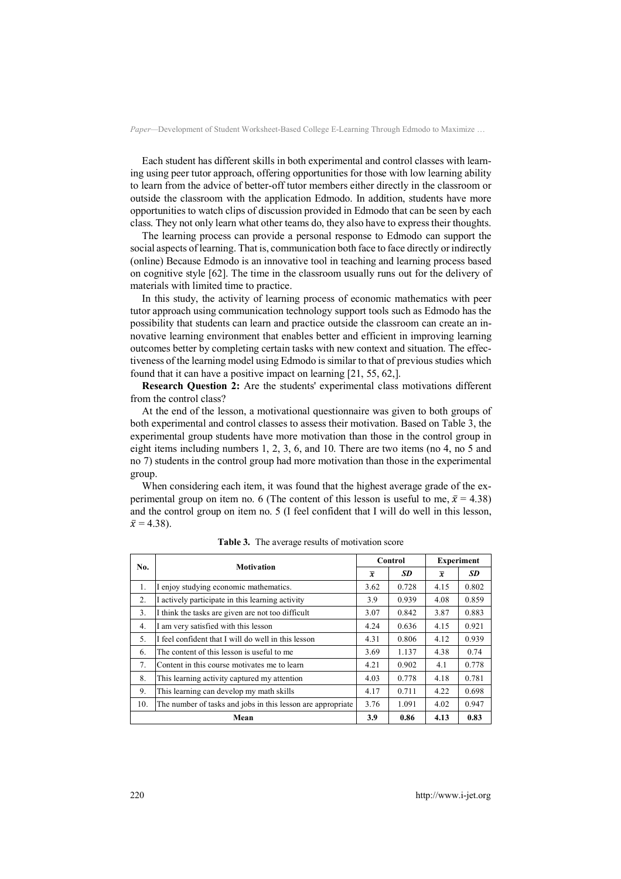Each student has different skills in both experimental and control classes with learning using peer tutor approach, offering opportunities for those with low learning ability to learn from the advice of better-off tutor members either directly in the classroom or outside the classroom with the application Edmodo. In addition, students have more opportunities to watch clips of discussion provided in Edmodo that can be seen by each class. They not only learn what other teams do, they also have to express their thoughts.

The learning process can provide a personal response to Edmodo can support the social aspects of learning. That is, communication both face to face directly or indirectly (online) Because Edmodo is an innovative tool in teaching and learning process based on cognitive style [62]. The time in the classroom usually runs out for the delivery of materials with limited time to practice.

In this study, the activity of learning process of economic mathematics with peer tutor approach using communication technology support tools such as Edmodo has the possibility that students can learn and practice outside the classroom can create an innovative learning environment that enables better and efficient in improving learning outcomes better by completing certain tasks with new context and situation. The effectiveness of the learning model using Edmodo is similar to that of previous studies which found that it can have a positive impact on learning [21, 55, 62,].

**Research Question 2:** Are the students' experimental class motivations different from the control class?

At the end of the lesson, a motivational questionnaire was given to both groups of both experimental and control classes to assess their motivation. Based on Table 3, the experimental group students have more motivation than those in the control group in eight items including numbers 1, 2, 3, 6, and 10. There are two items (no 4, no 5 and no 7) students in the control group had more motivation than those in the experimental group.

When considering each item, it was found that the highest average grade of the experimental group on item no. 6 (The content of this lesson is useful to me,  $\bar{x} = 4.38$ ) and the control group on item no. 5 (I feel confident that I will do well in this lesson,  $\bar{x} = 4.38$ ).

| No.  | <b>Motivation</b>                                           |      | Control   |                | <b>Experiment</b> |  |
|------|-------------------------------------------------------------|------|-----------|----------------|-------------------|--|
|      |                                                             |      | <b>SD</b> | $\overline{x}$ | <b>SD</b>         |  |
| 1.   | enjoy studying economic mathematics.                        | 3.62 | 0.728     | 4.15           | 0.802             |  |
| 2.   | I actively participate in this learning activity            | 3.9  | 0.939     | 4.08           | 0.859             |  |
| 3.   | I think the tasks are given are not too difficult           | 3.07 | 0.842     | 3.87           | 0.883             |  |
| 4.   | am very satisfied with this lesson                          | 4.24 | 0.636     | 4.15           | 0.921             |  |
| 5.   | I feel confident that I will do well in this lesson         | 4.31 | 0.806     | 4.12           | 0.939             |  |
| 6.   | The content of this lesson is useful to me                  |      | 1.137     | 4.38           | 0.74              |  |
| 7.   | Content in this course motivates me to learn                | 4.21 | 0.902     | 4.1            | 0.778             |  |
| 8.   | This learning activity captured my attention                | 4.03 | 0.778     | 4.18           | 0.781             |  |
| 9.   | This learning can develop my math skills                    | 4.17 | 0.711     | 4.22           | 0.698             |  |
| 10.  | The number of tasks and jobs in this lesson are appropriate |      | 1.091     | 4.02           | 0.947             |  |
| Mean |                                                             |      | 0.86      | 4.13           | 0.83              |  |

**Table 3.** The average results of motivation score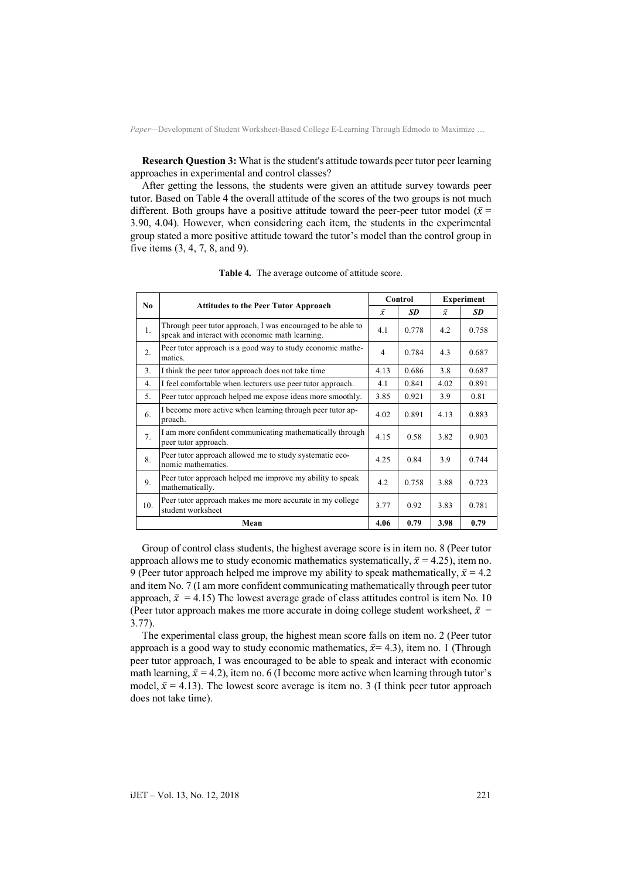**Research Question 3:** What is the student's attitude towards peer tutor peer learning approaches in experimental and control classes?

After getting the lessons, the students were given an attitude survey towards peer tutor. Based on Table 4 the overall attitude of the scores of the two groups is not much different. Both groups have a positive attitude toward the peer-peer tutor model ( $\bar{x}$  = 3.90, 4.04). However, when considering each item, the students in the experimental group stated a more positive attitude toward the tutor's model than the control group in five items (3, 4, 7, 8, and 9).

| No. | <b>Attitudes to the Peer Tutor Approach</b>                                                                    |      | Control |           | <b>Experiment</b> |  |
|-----|----------------------------------------------------------------------------------------------------------------|------|---------|-----------|-------------------|--|
|     |                                                                                                                |      | SD      | $\bar{x}$ | <b>SD</b>         |  |
| 1.  | Through peer tutor approach, I was encouraged to be able to<br>speak and interact with economic math learning. | 4.1  | 0.778   | 4.2       | 0.758             |  |
| 2.  | Peer tutor approach is a good way to study economic mathe-<br>matics.                                          |      | 0.784   | 4.3       | 0.687             |  |
| 3.  | I think the peer tutor approach does not take time                                                             | 4.13 | 0.686   | 3.8       | 0.687             |  |
| 4.  | I feel comfortable when lecturers use peer tutor approach.                                                     | 4.1  | 0.841   | 4.02      | 0.891             |  |
| 5.  | Peer tutor approach helped me expose ideas more smoothly.                                                      | 3.85 | 0.921   | 3.9       | 0.81              |  |
| 6.  | I become more active when learning through peer tutor ap-<br>proach.                                           | 4.02 | 0.891   | 4.13      | 0.883             |  |
| 7.  | I am more confident communicating mathematically through<br>peer tutor approach.                               | 4.15 | 0.58    | 3.82      | 0.903             |  |
| 8.  | Peer tutor approach allowed me to study systematic eco-<br>nomic mathematics.                                  | 4.25 | 0.84    | 3.9       | 0.744             |  |
| 9.  | Peer tutor approach helped me improve my ability to speak<br>mathematically.                                   | 4.2  | 0.758   | 3.88      | 0.723             |  |
| 10. | Peer tutor approach makes me more accurate in my college<br>student worksheet                                  | 3.77 | 0.92    | 3.83      | 0.781             |  |
|     | Mean                                                                                                           | 4.06 | 0.79    | 3.98      | 0.79              |  |

**Table 4.** The average outcome of attitude score.

Group of control class students, the highest average score is in item no. 8 (Peer tutor approach allows me to study economic mathematics systematically,  $\bar{x} = 4.25$ ), item no. 9 (Peer tutor approach helped me improve my ability to speak mathematically,  $\bar{x} = 4.2$ ) and item No. 7 (I am more confident communicating mathematically through peer tutor approach,  $\bar{x} = 4.15$ ) The lowest average grade of class attitudes control is item No. 10 (Peer tutor approach makes me more accurate in doing college student worksheet,  $\bar{x}$  = 3.77).

The experimental class group, the highest mean score falls on item no. 2 (Peer tutor approach is a good way to study economic mathematics,  $\bar{x}$  = 4.3), item no. 1 (Through peer tutor approach, I was encouraged to be able to speak and interact with economic math learning,  $\bar{x} = 4.2$ ), item no. 6 (I become more active when learning through tutor's model,  $\bar{x}$  = 4.13). The lowest score average is item no. 3 (I think peer tutor approach does not take time).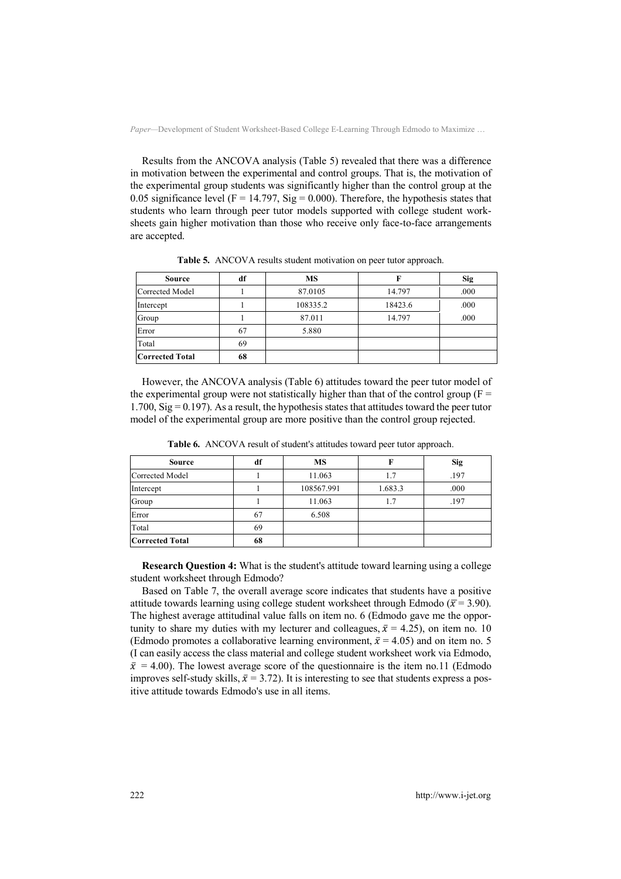Results from the ANCOVA analysis (Table 5) revealed that there was a difference in motivation between the experimental and control groups. That is, the motivation of the experimental group students was significantly higher than the control group at the 0.05 significance level ( $F = 14.797$ , Sig = 0.000). Therefore, the hypothesis states that students who learn through peer tutor models supported with college student worksheets gain higher motivation than those who receive only face-to-face arrangements are accepted.

| <b>Source</b>          | df | <b>MS</b> |         | <b>Sig</b> |
|------------------------|----|-----------|---------|------------|
| Corrected Model        |    | 87.0105   | 14.797  | .000       |
| Intercept              |    | 108335.2  | 18423.6 | .000       |
| Group                  |    | 87.011    | 14.797  | .000       |
| Error                  | 67 | 5.880     |         |            |
| Total                  | 69 |           |         |            |
| <b>Corrected Total</b> | 68 |           |         |            |

**Table 5.** ANCOVA results student motivation on peer tutor approach.

However, the ANCOVA analysis (Table 6) attitudes toward the peer tutor model of the experimental group were not statistically higher than that of the control group ( $F =$  $1.700$ , Sig = 0.197). As a result, the hypothesis states that attitudes toward the peer tutor model of the experimental group are more positive than the control group rejected.

| <b>Source</b>          | df | <b>MS</b>  |         | <b>Sig</b> |
|------------------------|----|------------|---------|------------|
| Corrected Model        |    | 11.063     | 1.7     | .197       |
| Intercept              |    | 108567.991 | 1.683.3 | .000       |
| Group                  |    | 11.063     | 1.7     | .197       |
| Error                  | 67 | 6.508      |         |            |
| Total                  | 69 |            |         |            |
| <b>Corrected Total</b> | 68 |            |         |            |

**Table 6.** ANCOVA result of student's attitudes toward peer tutor approach.

**Research Question 4:** What is the student's attitude toward learning using a college student worksheet through Edmodo?

Based on Table 7, the overall average score indicates that students have a positive attitude towards learning using college student worksheet through Edmodo ( $\bar{x}$  = 3.90). The highest average attitudinal value falls on item no. 6 (Edmodo gave me the opportunity to share my duties with my lecturer and colleagues,  $\bar{x} = 4.25$ ), on item no. 10 (Edmodo promotes a collaborative learning environment,  $\bar{x} = 4.05$ ) and on item no. 5 (I can easily access the class material and college student worksheet work via Edmodo,  $\bar{x}$  = 4.00). The lowest average score of the questionnaire is the item no.11 (Edmodo improves self-study skills,  $\bar{x}$  = 3.72). It is interesting to see that students express a positive attitude towards Edmodo's use in all items.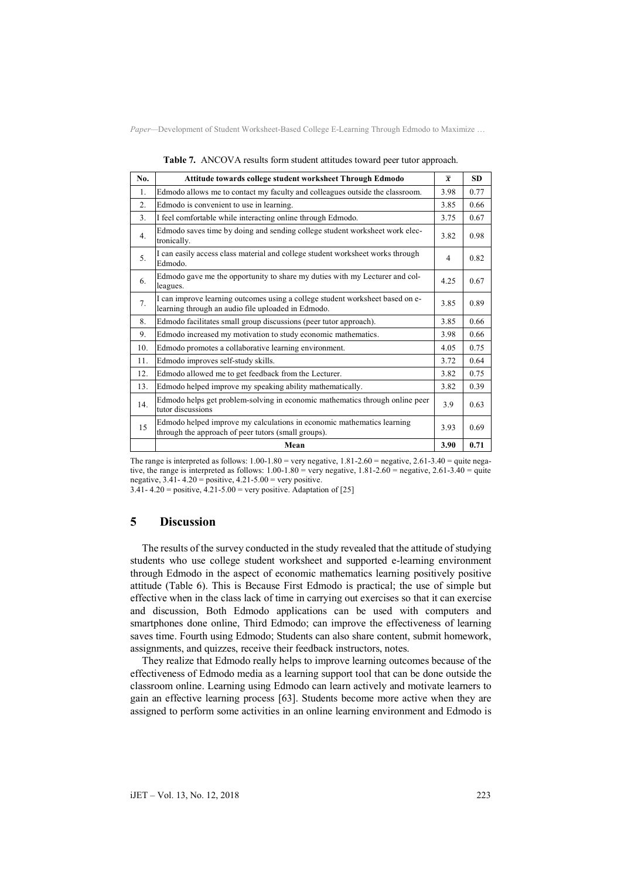| No.             | Attitude towards college student worksheet Through Edmodo                                                                           | $\overline{x}$ | <b>SD</b> |
|-----------------|-------------------------------------------------------------------------------------------------------------------------------------|----------------|-----------|
| $\mathbf{1}$ .  | Edmodo allows me to contact my faculty and colleagues outside the classroom.                                                        | 3.98           | 0.77      |
| 2.              | Edmodo is convenient to use in learning.                                                                                            | 3.85           | 0.66      |
| 3 <sub>1</sub>  | I feel comfortable while interacting online through Edmodo.                                                                         | 3.75           | 0.67      |
| 4 <sup>1</sup>  | Edmodo saves time by doing and sending college student worksheet work elec-<br>tronically.                                          | 3.82           | 0.98      |
| 5 <sub>1</sub>  | I can easily access class material and college student worksheet works through<br>Edmodo.                                           | $\overline{4}$ | 0.82      |
| 6.              | Edmodo gave me the opportunity to share my duties with my Lecturer and col-<br>leagues.                                             | 4.25           | 0.67      |
| 7.              | I can improve learning outcomes using a college student worksheet based on e-<br>learning through an audio file uploaded in Edmodo. | 3.85           | 0.89      |
| 8.              | Edmodo facilitates small group discussions (peer tutor approach).                                                                   | 3.85           | 0.66      |
| 9.              | Edmodo increased my motivation to study economic mathematics.                                                                       | 3.98           | 0.66      |
| 10.             | Edmodo promotes a collaborative learning environment.                                                                               | 4.05           | 0.75      |
| 11.             | Edmodo improves self-study skills.                                                                                                  | 3.72           | 0.64      |
| 12.             | Edmodo allowed me to get feedback from the Lecturer.                                                                                | 3.82           | 0.75      |
| 13.             | Edmodo helped improve my speaking ability mathematically.                                                                           | 3.82           | 0.39      |
| 14 <sub>1</sub> | Edmodo helps get problem-solving in economic mathematics through online peer<br>tutor discussions                                   | 3.9            | 0.63      |
| 15              | Edmodo helped improve my calculations in economic mathematics learning<br>through the approach of peer tutors (small groups).       | 3.93           | 0.69      |
|                 | Mean                                                                                                                                | 3.90           | 0.71      |

**Table 7.** ANCOVA results form student attitudes toward peer tutor approach.

The range is interpreted as follows:  $1.00-1.80 =$  very negative,  $1.81-2.60 =$  negative,  $2.61-3.40 =$  quite negative, the range is interpreted as follows:  $1.00-1.80$  = very negative,  $1.81-2.60$  = negative,  $2.61-3.40$  = quite negative,  $3.41 - 4.20$  = positive,  $4.21 - 5.00$  = very positive.

3.41- 4.20 = positive,  $4.21 - 5.00$  = very positive. Adaptation of [25]

## **5 Discussion**

The results of the survey conducted in the study revealed that the attitude of studying students who use college student worksheet and supported e-learning environment through Edmodo in the aspect of economic mathematics learning positively positive attitude (Table 6). This is Because First Edmodo is practical; the use of simple but effective when in the class lack of time in carrying out exercises so that it can exercise and discussion, Both Edmodo applications can be used with computers and smartphones done online, Third Edmodo; can improve the effectiveness of learning saves time. Fourth using Edmodo; Students can also share content, submit homework, assignments, and quizzes, receive their feedback instructors, notes.

They realize that Edmodo really helps to improve learning outcomes because of the effectiveness of Edmodo media as a learning support tool that can be done outside the classroom online. Learning using Edmodo can learn actively and motivate learners to gain an effective learning process [63]. Students become more active when they are assigned to perform some activities in an online learning environment and Edmodo is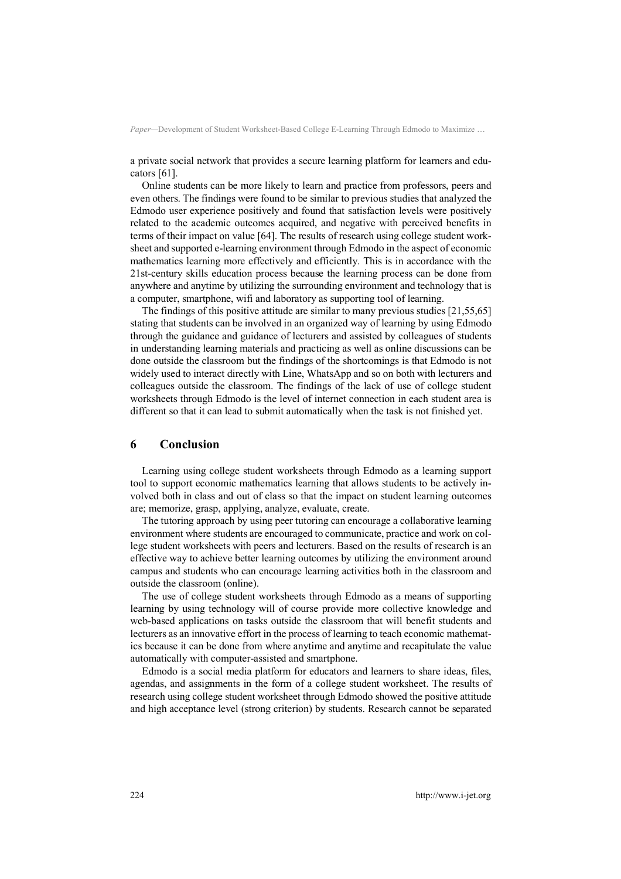a private social network that provides a secure learning platform for learners and educators [61].

Online students can be more likely to learn and practice from professors, peers and even others. The findings were found to be similar to previous studies that analyzed the Edmodo user experience positively and found that satisfaction levels were positively related to the academic outcomes acquired, and negative with perceived benefits in terms of their impact on value [64]. The results of research using college student worksheet and supported e-learning environment through Edmodo in the aspect of economic mathematics learning more effectively and efficiently. This is in accordance with the 21st-century skills education process because the learning process can be done from anywhere and anytime by utilizing the surrounding environment and technology that is a computer, smartphone, wifi and laboratory as supporting tool of learning.

The findings of this positive attitude are similar to many previous studies [21,55,65] stating that students can be involved in an organized way of learning by using Edmodo through the guidance and guidance of lecturers and assisted by colleagues of students in understanding learning materials and practicing as well as online discussions can be done outside the classroom but the findings of the shortcomings is that Edmodo is not widely used to interact directly with Line, WhatsApp and so on both with lecturers and colleagues outside the classroom. The findings of the lack of use of college student worksheets through Edmodo is the level of internet connection in each student area is different so that it can lead to submit automatically when the task is not finished yet.

# **6 Conclusion**

Learning using college student worksheets through Edmodo as a learning support tool to support economic mathematics learning that allows students to be actively involved both in class and out of class so that the impact on student learning outcomes are; memorize, grasp, applying, analyze, evaluate, create.

The tutoring approach by using peer tutoring can encourage a collaborative learning environment where students are encouraged to communicate, practice and work on college student worksheets with peers and lecturers. Based on the results of research is an effective way to achieve better learning outcomes by utilizing the environment around campus and students who can encourage learning activities both in the classroom and outside the classroom (online).

The use of college student worksheets through Edmodo as a means of supporting learning by using technology will of course provide more collective knowledge and web-based applications on tasks outside the classroom that will benefit students and lecturers as an innovative effort in the process of learning to teach economic mathematics because it can be done from where anytime and anytime and recapitulate the value automatically with computer-assisted and smartphone.

Edmodo is a social media platform for educators and learners to share ideas, files, agendas, and assignments in the form of a college student worksheet. The results of research using college student worksheet through Edmodo showed the positive attitude and high acceptance level (strong criterion) by students. Research cannot be separated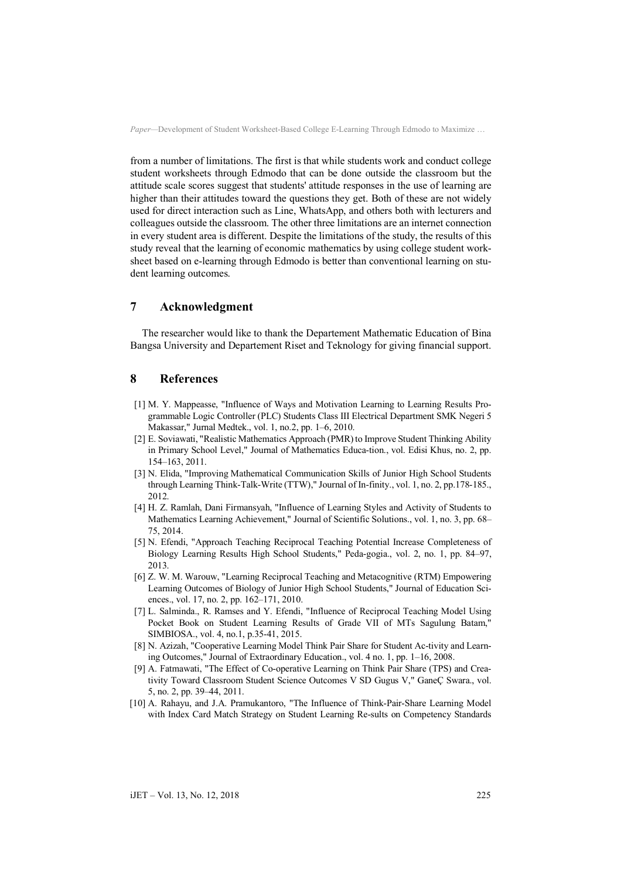from a number of limitations. The first is that while students work and conduct college student worksheets through Edmodo that can be done outside the classroom but the attitude scale scores suggest that students' attitude responses in the use of learning are higher than their attitudes toward the questions they get. Both of these are not widely used for direct interaction such as Line, WhatsApp, and others both with lecturers and colleagues outside the classroom. The other three limitations are an internet connection in every student area is different. Despite the limitations of the study, the results of this study reveal that the learning of economic mathematics by using college student worksheet based on e-learning through Edmodo is better than conventional learning on student learning outcomes.

# **7 Acknowledgment**

The researcher would like to thank the Departement Mathematic Education of Bina Bangsa University and Departement Riset and Teknology for giving financial support.

## **8 References**

- [1] M. Y. Mappeasse, "Influence of Ways and Motivation Learning to Learning Results Programmable Logic Controller (PLC) Students Class III Electrical Department SMK Negeri 5 Makassar," Jurnal Medtek., vol. 1, no.2, pp. 1–6, 2010.
- [2] E. Soviawati, "Realistic Mathematics Approach (PMR) to Improve Student Thinking Ability in Primary School Level," Journal of Mathematics Educa-tion., vol. Edisi Khus, no. 2, pp. 154–163, 2011.
- [3] N. Elida, "Improving Mathematical Communication Skills of Junior High School Students through Learning Think-Talk-Write (TTW)," Journal of In-finity., vol. 1, no. 2, pp.178-185., 2012.
- [4] H. Z. Ramlah, Dani Firmansyah, "Influence of Learning Styles and Activity of Students to Mathematics Learning Achievement," Journal of Scientific Solutions., vol. 1, no. 3, pp. 68– 75, 2014.
- [5] N. Efendi, "Approach Teaching Reciprocal Teaching Potential Increase Completeness of Biology Learning Results High School Students," Peda-gogia., vol. 2, no. 1, pp. 84–97, 2013.
- [6] Z. W. M. Warouw, "Learning Reciprocal Teaching and Metacognitive (RTM) Empowering Learning Outcomes of Biology of Junior High School Students," Journal of Education Sciences., vol. 17, no. 2, pp. 162–171, 2010.
- [7] L. Salminda., R. Ramses and Y. Efendi, "Influence of Reciprocal Teaching Model Using Pocket Book on Student Learning Results of Grade VII of MTs Sagulung Batam," SIMBIOSA., vol. 4, no.1, p.35-41, 2015.
- [8] N. Azizah, "Cooperative Learning Model Think Pair Share for Student Ac-tivity and Learning Outcomes," Journal of Extraordinary Education., vol. 4 no. 1, pp. 1–16, 2008.
- [9] A. Fatmawati, "The Effect of Co-operative Learning on Think Pair Share (TPS) and Creativity Toward Classroom Student Science Outcomes V SD Gugus V," GaneÇ Swara., vol. 5, no. 2, pp. 39–44, 2011.
- [10] A. Rahayu, and J.A. Pramukantoro, "The Influence of Think-Pair-Share Learning Model with Index Card Match Strategy on Student Learning Re-sults on Competency Standards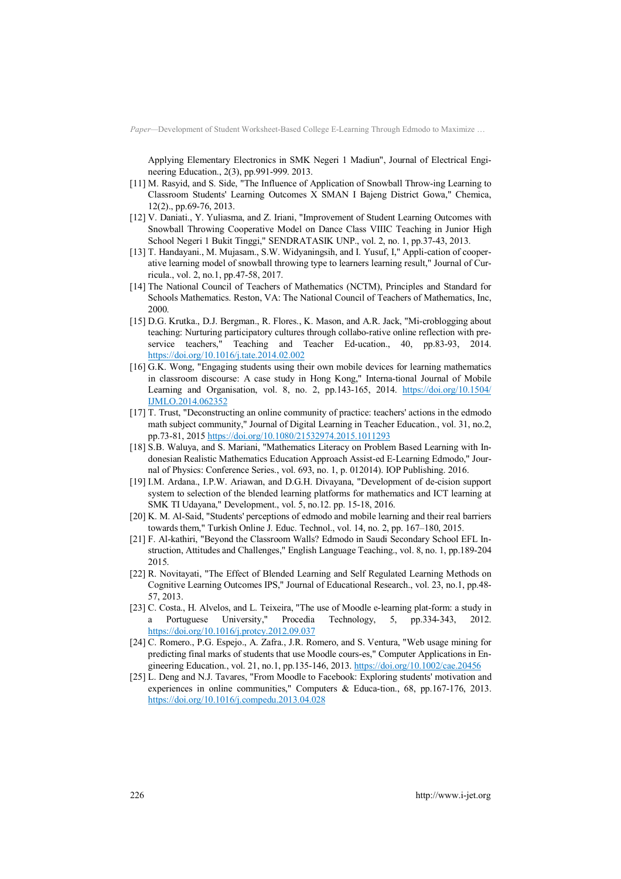Applying Elementary Electronics in SMK Negeri 1 Madiun", Journal of Electrical Engineering Education., 2(3), pp.991-999. 2013.

- [11] M. Rasyid, and S. Side, "The Influence of Application of Snowball Throw-ing Learning to Classroom Students' Learning Outcomes X SMAN I Bajeng District Gowa," Chemica, 12(2)., pp.69-76, 2013.
- [12] V. Daniati., Y. Yuliasma, and Z. Iriani, "Improvement of Student Learning Outcomes with Snowball Throwing Cooperative Model on Dance Class VIIIC Teaching in Junior High School Negeri 1 Bukit Tinggi," SENDRATASIK UNP., vol. 2, no. 1, pp.37-43, 2013.
- [13] T. Handayani., M. Mujasam., S.W. Widyaningsih, and I. Yusuf, I," Appli-cation of cooperative learning model of snowball throwing type to learners learning result," Journal of Curricula., vol. 2, no.1, pp.47-58, 2017.
- [14] The National Council of Teachers of Mathematics (NCTM), Principles and Standard for Schools Mathematics. Reston, VA: The National Council of Teachers of Mathematics, Inc, 2000.
- [15] D.G. Krutka., D.J. Bergman., R. Flores., K. Mason, and A.R. Jack, "Mi-croblogging about teaching: Nurturing participatory cultures through collabo-rative online reflection with preservice teachers," Teaching and Teacher Ed-ucation., 40, pp.83-93, 2014. https://doi.org/10.1016/j.tate.2014.02.002
- [16] G.K. Wong, "Engaging students using their own mobile devices for learning mathematics in classroom discourse: A case study in Hong Kong," Interna-tional Journal of Mobile Learning and Organisation, vol. 8, no. 2, pp.143-165, 2014. https://doi.org/10.1504/ IJMLO.2014.062352
- [17] T. Trust, "Deconstructing an online community of practice: teachers' actions in the edmodo math subject community," Journal of Digital Learning in Teacher Education., vol. 31, no.2, pp.73-81, 2015 https://doi.org/10.1080/21532974.2015.1011293
- [18] S.B. Waluya, and S. Mariani, "Mathematics Literacy on Problem Based Learning with Indonesian Realistic Mathematics Education Approach Assist-ed E-Learning Edmodo," Journal of Physics: Conference Series., vol. 693, no. 1, p. 012014). IOP Publishing. 2016.
- [19] I.M. Ardana., I.P.W. Ariawan, and D.G.H. Divayana, "Development of de-cision support system to selection of the blended learning platforms for mathematics and ICT learning at SMK TI Udayana," Development., vol. 5, no.12. pp. 15-18, 2016.
- [20] K. M. Al-Said, "Students' perceptions of edmodo and mobile learning and their real barriers towards them," Turkish Online J. Educ. Technol., vol. 14, no. 2, pp. 167–180, 2015.
- [21] F. Al-kathiri, "Beyond the Classroom Walls? Edmodo in Saudi Secondary School EFL Instruction, Attitudes and Challenges," English Language Teaching., vol. 8, no. 1, pp.189-204 2015.
- [22] R. Novitayati, "The Effect of Blended Learning and Self Regulated Learning Methods on Cognitive Learning Outcomes IPS," Journal of Educational Research., vol. 23, no.1, pp.48- 57, 2013.
- [23] C. Costa., H. Alvelos, and L. Teixeira, "The use of Moodle e-learning plat-form: a study in Portuguese University," Procedia Technology, 5, pp.334-343, 2012. https://doi.org/10.1016/j.protcy.2012.09.037
- [24] C. Romero., P.G. Espejo., A. Zafra., J.R. Romero, and S. Ventura, "Web usage mining for predicting final marks of students that use Moodle cours-es," Computer Applications in Engineering Education., vol. 21, no.1, pp.135-146, 2013. https://doi.org/10.1002/cae.20456
- [25] L. Deng and N.J. Tavares, "From Moodle to Facebook: Exploring students' motivation and experiences in online communities," Computers & Educa-tion., 68, pp.167-176, 2013. https://doi.org/10.1016/j.compedu.2013.04.028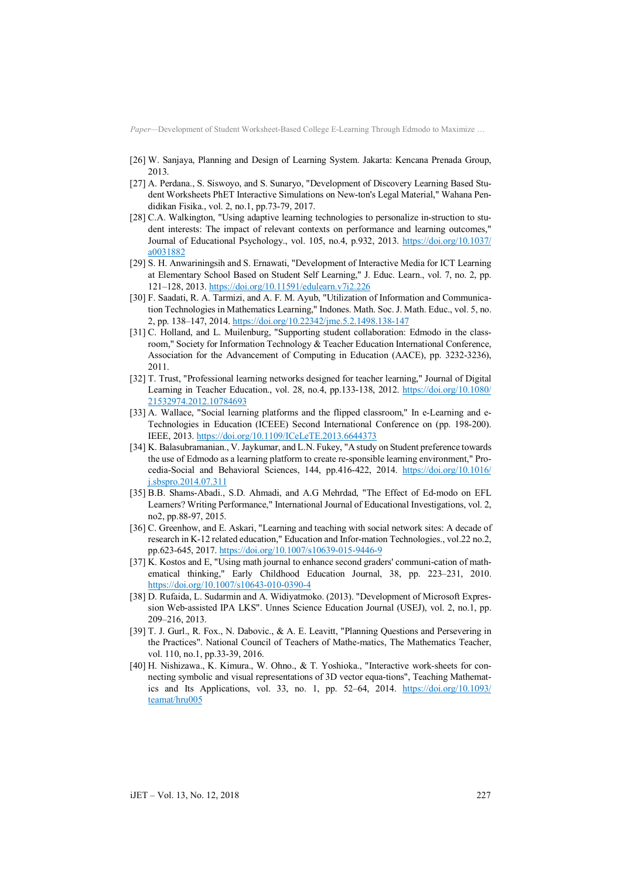- [26] W. Sanjaya, Planning and Design of Learning System. Jakarta: Kencana Prenada Group, 2013.
- [27] A. Perdana., S. Siswoyo, and S. Sunaryo, "Development of Discovery Learning Based Student Worksheets PhET Interactive Simulations on New-ton's Legal Material," Wahana Pendidikan Fisika., vol. 2, no.1, pp.73-79, 2017.
- [28] C.A. Walkington, "Using adaptive learning technologies to personalize in-struction to student interests: The impact of relevant contexts on performance and learning outcomes," Journal of Educational Psychology., vol. 105, no.4, p.932, 2013. https://doi.org/10.1037/ a0031882
- [29] S. H. Anwariningsih and S. Ernawati, "Development of Interactive Media for ICT Learning at Elementary School Based on Student Self Learning," J. Educ. Learn., vol. 7, no. 2, pp. 121–128, 2013. https://doi.org/10.11591/edulearn.v7i2.226
- [30] F. Saadati, R. A. Tarmizi, and A. F. M. Ayub, "Utilization of Information and Communication Technologies in Mathematics Learning," Indones. Math. Soc. J. Math. Educ., vol. 5, no. 2, pp. 138–147, 2014. https://doi.org/10.22342/jme.5.2.1498.138-147
- [31] C. Holland, and L. Muilenburg, "Supporting student collaboration: Edmodo in the classroom," Society for Information Technology & Teacher Education International Conference, Association for the Advancement of Computing in Education (AACE), pp. 3232-3236), 2011.
- [32] T. Trust, "Professional learning networks designed for teacher learning," Journal of Digital Learning in Teacher Education., vol. 28, no.4, pp.133-138, 2012. https://doi.org/10.1080/ 21532974.2012.10784693
- [33] A. Wallace, "Social learning platforms and the flipped classroom," In e-Learning and e-Technologies in Education (ICEEE) Second International Conference on (pp. 198-200). IEEE, 2013. https://doi.org/10.1109/ICeLeTE.2013.6644373
- [34] K. Balasubramanian., V. Jaykumar, and L.N. Fukey, "A study on Student preference towards the use of Edmodo as a learning platform to create re-sponsible learning environment," Procedia-Social and Behavioral Sciences, 144, pp.416-422, 2014. https://doi.org/10.1016/ j.sbspro.2014.07.311
- [35] B.B. Shams-Abadi., S.D. Ahmadi, and A.G Mehrdad, "The Effect of Ed-modo on EFL Learners? Writing Performance," International Journal of Educational Investigations, vol. 2, no2, pp.88-97, 2015.
- [36] C. Greenhow, and E. Askari, "Learning and teaching with social network sites: A decade of research in K-12 related education," Education and Infor-mation Technologies., vol.22 no.2, pp.623-645, 2017. https://doi.org/10.1007/s10639-015-9446-9
- [37] K. Kostos and E, "Using math journal to enhance second graders' communi-cation of mathematical thinking," Early Childhood Education Journal, 38, pp. 223–231, 2010. https://doi.org/10.1007/s10643-010-0390-4
- [38] D. Rufaida, L. Sudarmin and A. Widiyatmoko. (2013). "Development of Microsoft Expression Web-assisted IPA LKS". Unnes Science Education Journal (USEJ), vol. 2, no.1, pp. 209–216, 2013.
- [39] T. J. Gurl., R. Fox., N. Dabovic., & A. E. Leavitt, "Planning Questions and Persevering in the Practices". National Council of Teachers of Mathe-matics, The Mathematics Teacher, vol. 110, no.1, pp.33-39, 2016.
- [40] H. Nishizawa., K. Kimura., W. Ohno., & T. Yoshioka., "Interactive work-sheets for connecting symbolic and visual representations of 3D vector equa-tions", Teaching Mathematics and Its Applications, vol. 33, no. 1, pp. 52–64, 2014. https://doi.org/10.1093/ teamat/hru005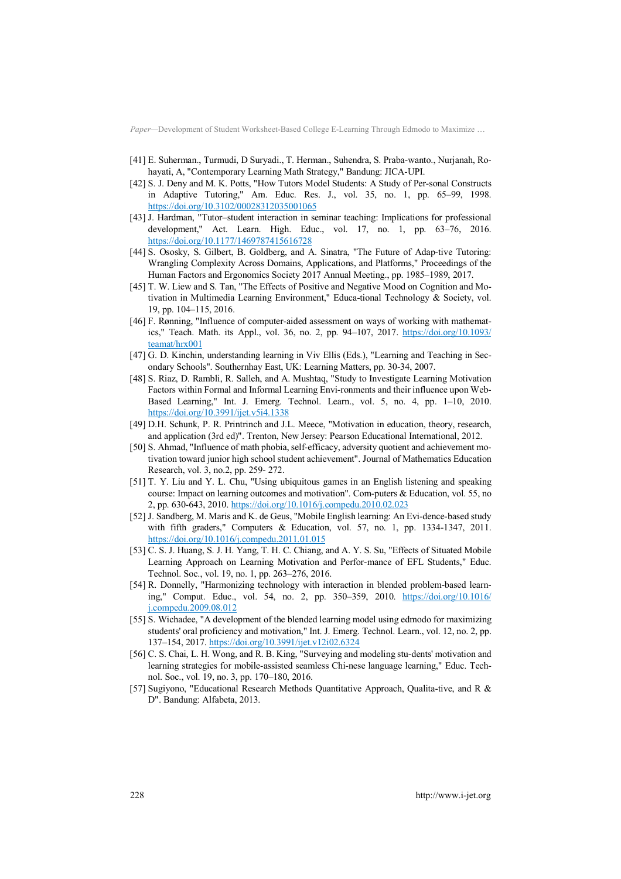- [41] E. Suherman., Turmudi, D Suryadi., T. Herman., Suhendra, S. Praba-wanto., Nurjanah, Rohayati, A, "Contemporary Learning Math Strategy," Bandung: JICA-UPI.
- [42] S. J. Deny and M. K. Potts, "How Tutors Model Students: A Study of Per-sonal Constructs in Adaptive Tutoring," Am. Educ. Res. J., vol. 35, no. 1, pp. 65–99, 1998. https://doi.org/10.3102/00028312035001065
- [43] J. Hardman, "Tutor–student interaction in seminar teaching: Implications for professional development," Act. Learn. High. Educ., vol. 17, no. 1, pp. 63–76, 2016. https://doi.org/10.1177/1469787415616728
- [44] S. Ososky, S. Gilbert, B. Goldberg, and A. Sinatra, "The Future of Adap-tive Tutoring: Wrangling Complexity Across Domains, Applications, and Platforms," Proceedings of the Human Factors and Ergonomics Society 2017 Annual Meeting., pp. 1985–1989, 2017.
- [45] T. W. Liew and S. Tan, "The Effects of Positive and Negative Mood on Cognition and Motivation in Multimedia Learning Environment," Educa-tional Technology & Society, vol. 19, pp. 104–115, 2016.
- [46] F. Rønning, "Influence of computer-aided assessment on ways of working with mathematics," Teach. Math. its Appl., vol. 36, no. 2, pp. 94–107, 2017. https://doi.org/10.1093/ teamat/hrx001
- [47] G. D. Kinchin, understanding learning in Viv Ellis (Eds.), "Learning and Teaching in Secondary Schools". Southernhay East, UK: Learning Matters, pp. 30-34, 2007.
- [48] S. Riaz, D. Rambli, R. Salleh, and A. Mushtaq, "Study to Investigate Learning Motivation Factors within Formal and Informal Learning Envi-ronments and their influence upon Web-Based Learning," Int. J. Emerg. Technol. Learn., vol. 5, no. 4, pp. 1–10, 2010. https://doi.org/10.3991/ijet.v5i4.1338
- [49] D.H. Schunk, P. R. Printrinch and J.L. Meece, "Motivation in education, theory, research, and application (3rd ed)". Trenton, New Jersey: Pearson Educational International, 2012.
- [50] S. Ahmad, "Influence of math phobia, self-efficacy, adversity quotient and achievement motivation toward junior high school student achievement". Journal of Mathematics Education Research, vol. 3, no.2, pp. 259- 272.
- [51] T. Y. Liu and Y. L. Chu, "Using ubiquitous games in an English listening and speaking course: Impact on learning outcomes and motivation". Com-puters & Education, vol. 55, no 2, pp. 630-643, 2010. https://doi.org/10.1016/j.compedu.2010.02.023
- [52] J. Sandberg, M. Maris and K. de Geus, "Mobile English learning: An Evi-dence-based study with fifth graders," Computers & Education, vol. 57, no. 1, pp. 1334-1347, 2011. https://doi.org/10.1016/j.compedu.2011.01.015
- [53] C. S. J. Huang, S. J. H. Yang, T. H. C. Chiang, and A. Y. S. Su, "Effects of Situated Mobile Learning Approach on Learning Motivation and Perfor-mance of EFL Students," Educ. Technol. Soc., vol. 19, no. 1, pp. 263–276, 2016.
- [54] R. Donnelly, "Harmonizing technology with interaction in blended problem-based learning," Comput. Educ., vol. 54, no. 2, pp. 350–359, 2010. https://doi.org/10.1016/ j.compedu.2009.08.012
- [55] S. Wichadee, "A development of the blended learning model using edmodo for maximizing students' oral proficiency and motivation," Int. J. Emerg. Technol. Learn., vol. 12, no. 2, pp. 137–154, 2017. https://doi.org/10.3991/ijet.v12i02.6324
- [56] C. S. Chai, L. H. Wong, and R. B. King, "Surveying and modeling stu-dents' motivation and learning strategies for mobile-assisted seamless Chi-nese language learning," Educ. Technol. Soc., vol. 19, no. 3, pp. 170–180, 2016.
- [57] Sugiyono, "Educational Research Methods Quantitative Approach, Qualita-tive, and R & D". Bandung: Alfabeta, 2013.